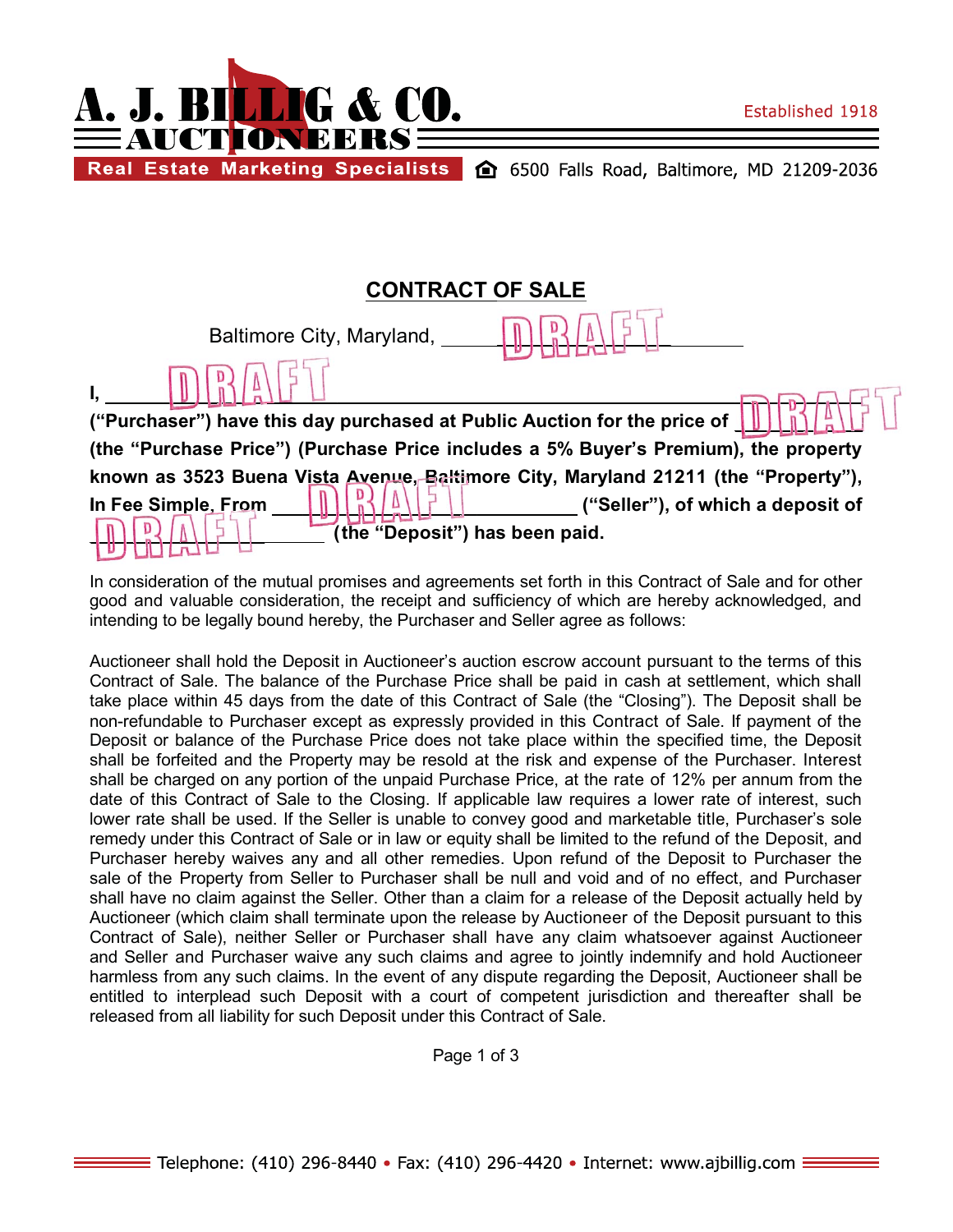



Real Estate Marketing Specialists (20 6500 Falls Road, Baltimore, MD 21209-2036

# **CONTRACT OF SALE**

|                                                                                             | Baltimore City, Maryland,      |  |                                   |  |  |
|---------------------------------------------------------------------------------------------|--------------------------------|--|-----------------------------------|--|--|
|                                                                                             |                                |  |                                   |  |  |
| ("Purchaser") have this day purchased at Public Auction for the price of                    |                                |  |                                   |  |  |
| (the "Purchase Price") (Purchase Price includes a 5% Buyer's Premium), the property         |                                |  |                                   |  |  |
| known as 3523 Buena V <u>ista Avenue, Balti</u> more City, Maryland 21211 (the "Property"), |                                |  |                                   |  |  |
| In Fee Simple, From                                                                         |                                |  | ("Seller"), of which a deposit of |  |  |
|                                                                                             | (the "Deposit") has been paid. |  |                                   |  |  |
|                                                                                             |                                |  |                                   |  |  |

In consideration of the mutual promises and agreements set forth in this Contract of Sale and for other good and valuable consideration, the receipt and sufficiency of which are hereby acknowledged, and intending to be legally bound hereby, the Purchaser and Seller agree as follows:

Auctioneer shall hold the Deposit in Auctioneer's auction escrow account pursuant to the terms of this Contract of Sale. The balance of the Purchase Price shall be paid in cash at settlement, which shall take place within 45 days from the date of this Contract of Sale (the "Closing"). The Deposit shall be non-refundable to Purchaser except as expressly provided in this Contract of Sale. If payment of the Deposit or balance of the Purchase Price does not take place within the specified time, the Deposit shall be forfeited and the Property may be resold at the risk and expense of the Purchaser. Interest shall be charged on any portion of the unpaid Purchase Price, at the rate of 12% per annum from the date of this Contract of Sale to the Closing. If applicable law requires a lower rate of interest, such lower rate shall be used. If the Seller is unable to convey good and marketable title, Purchaser's sole remedy under this Contract of Sale or in law or equity shall be limited to the refund of the Deposit, and Purchaser hereby waives any and all other remedies. Upon refund of the Deposit to Purchaser the sale of the Property from Seller to Purchaser shall be null and void and of no effect, and Purchaser shall have no claim against the Seller. Other than a claim for a release of the Deposit actually held by Auctioneer (which claim shall terminate upon the release by Auctioneer of the Deposit pursuant to this Contract of Sale), neither Seller or Purchaser shall have any claim whatsoever against Auctioneer and Seller and Purchaser waive any such claims and agree to jointly indemnify and hold Auctioneer harmless from any such claims. In the event of any dispute regarding the Deposit, Auctioneer shall be entitled to interplead such Deposit with a court of competent jurisdiction and thereafter shall be released from all liability for such Deposit under this Contract of Sale.

Page 1 of 3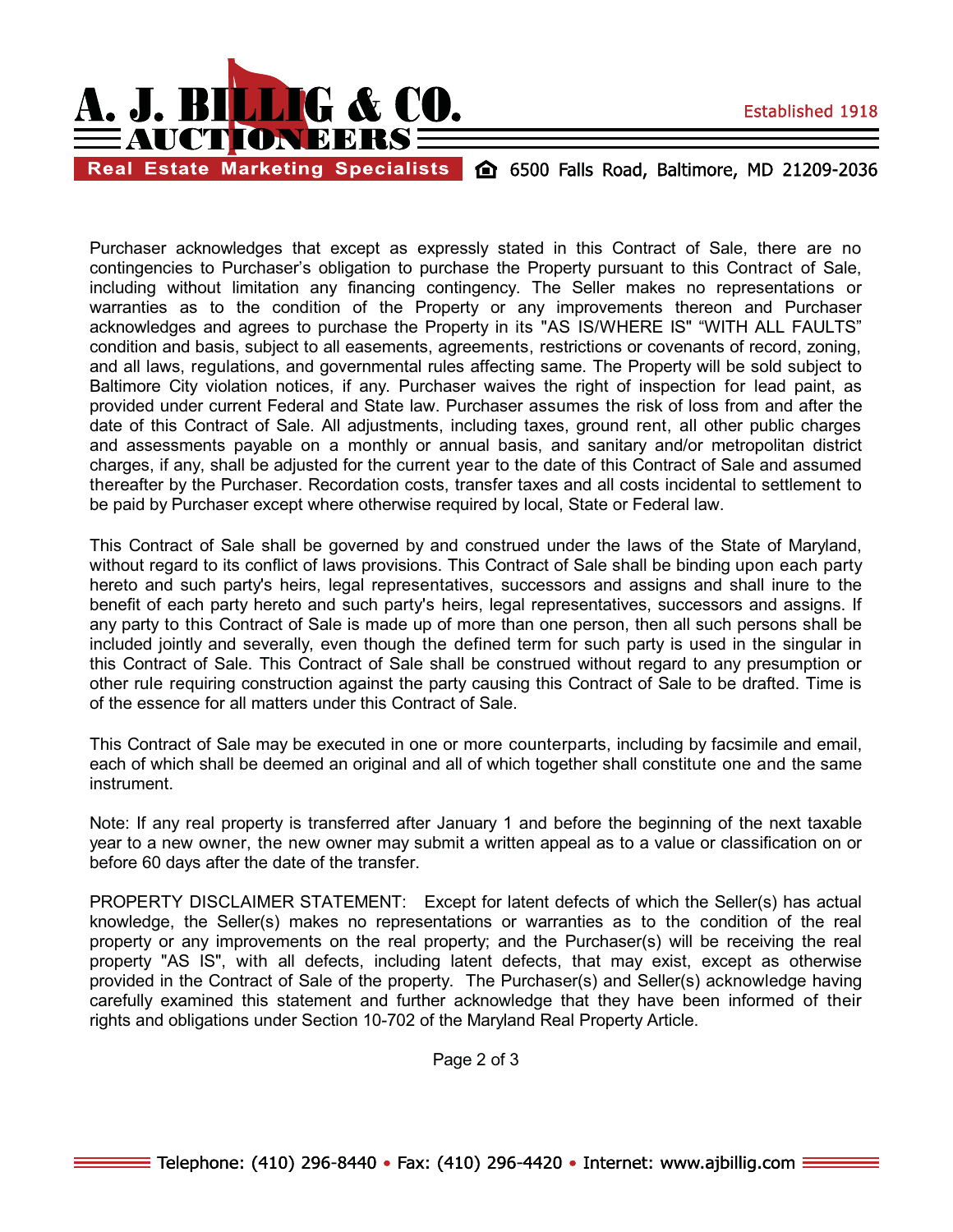

Real Estate Marketing Specialists (2) 6500 Falls Road, Baltimore, MD 21209-2036

Purchaser acknowledges that except as expressly stated in this Contract of Sale, there are no contingencies to Purchaser's obligation to purchase the Property pursuant to this Contract of Sale, including without limitation any financing contingency. The Seller makes no representations or warranties as to the condition of the Property or any improvements thereon and Purchaser acknowledges and agrees to purchase the Property in its "AS IS/WHERE IS" "WITH ALL FAULTS" condition and basis, subject to all easements, agreements, restrictions or covenants of record, zoning, and all laws, regulations, and governmental rules affecting same. The Property will be sold subject to Baltimore City violation notices, if any. Purchaser waives the right of inspection for lead paint, as provided under current Federal and State law. Purchaser assumes the risk of loss from and after the date of this Contract of Sale. All adjustments, including taxes, ground rent, all other public charges and assessments payable on a monthly or annual basis, and sanitary and/or metropolitan district charges, if any, shall be adjusted for the current year to the date of this Contract of Sale and assumed thereafter by the Purchaser. Recordation costs, transfer taxes and all costs incidental to settlement to be paid by Purchaser except where otherwise required by local, State or Federal law.

This Contract of Sale shall be governed by and construed under the laws of the State of Maryland, without regard to its conflict of laws provisions. This Contract of Sale shall be binding upon each party hereto and such party's heirs, legal representatives, successors and assigns and shall inure to the benefit of each party hereto and such party's heirs, legal representatives, successors and assigns. If any party to this Contract of Sale is made up of more than one person, then all such persons shall be included jointly and severally, even though the defined term for such party is used in the singular in this Contract of Sale. This Contract of Sale shall be construed without regard to any presumption or other rule requiring construction against the party causing this Contract of Sale to be drafted. Time is of the essence for all matters under this Contract of Sale.

This Contract of Sale may be executed in one or more counterparts, including by facsimile and email, each of which shall be deemed an original and all of which together shall constitute one and the same instrument.

Note: If any real property is transferred after January 1 and before the beginning of the next taxable year to a new owner, the new owner may submit a written appeal as to a value or classification on or before 60 days after the date of the transfer.

PROPERTY DISCLAIMER STATEMENT: Except for latent defects of which the Seller(s) has actual knowledge, the Seller(s) makes no representations or warranties as to the condition of the real property or any improvements on the real property; and the Purchaser(s) will be receiving the real property "AS IS", with all defects, including latent defects, that may exist, except as otherwise provided in the Contract of Sale of the property. The Purchaser(s) and Seller(s) acknowledge having carefully examined this statement and further acknowledge that they have been informed of their rights and obligations under Section 10-702 of the Maryland Real Property Article.

Page 2 of 3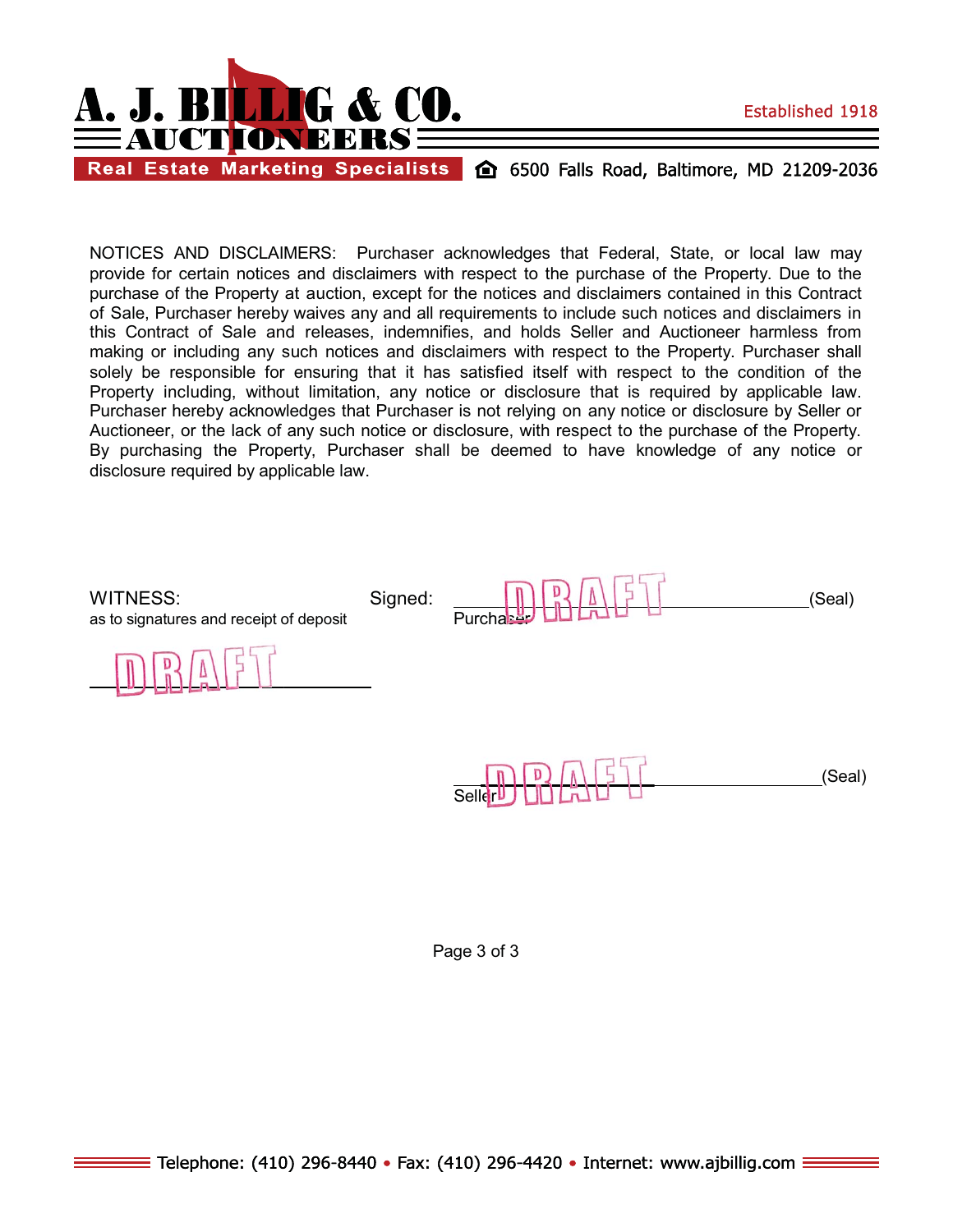

Real Estate Marketing Specialists (20 6500 Falls Road, Baltimore, MD 21209-2036

NOTICES AND DISCLAIMERS: Purchaser acknowledges that Federal, State, or local law may provide for certain notices and disclaimers with respect to the purchase of the Property. Due to the purchase of the Property at auction, except for the notices and disclaimers contained in this Contract of Sale, Purchaser hereby waives any and all requirements to include such notices and disclaimers in this Contract of Sale and releases, indemnifies, and holds Seller and Auctioneer harmless from making or including any such notices and disclaimers with respect to the Property. Purchaser shall solely be responsible for ensuring that it has satisfied itself with respect to the condition of the Property including, without limitation, any notice or disclosure that is required by applicable law. Purchaser hereby acknowledges that Purchaser is not relying on any notice or disclosure by Seller or Auctioneer, or the lack of any such notice or disclosure, with respect to the purchase of the Property. By purchasing the Property, Purchaser shall be deemed to have knowledge of any notice or disclosure required by applicable law.

as to signatures and receipt of deposit

WITNESS: Signed:  $\frac{1}{\|x\|}\sqrt{\|x\|}$ I aser

 $\overline{a}$ 



Page 3 of 3